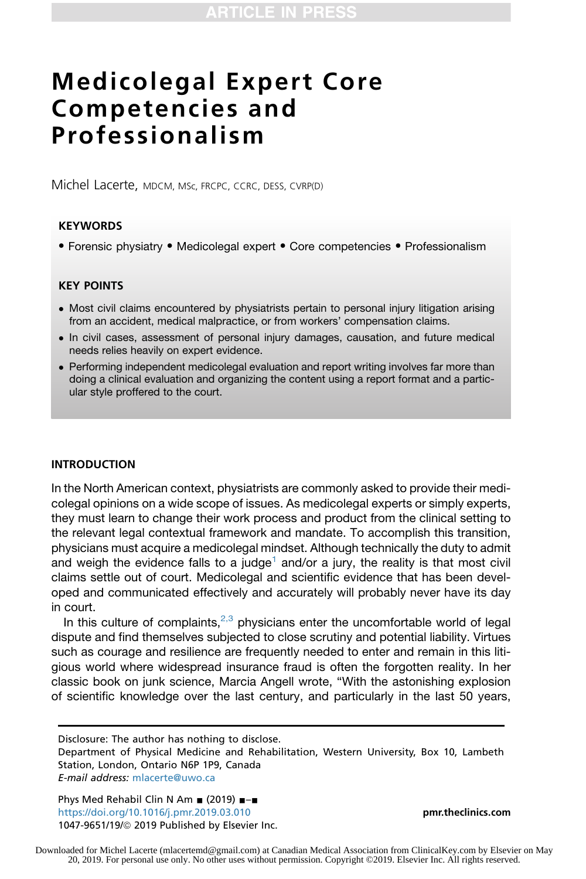# Medicolegal Expert Core Competencies and Professionalism

Michel Lacerte, MDCM, MSc, FRCPC, CCRC, DESS, CVRP(D)

### **KEYWORDS**

• Forensic physiatry • Medicolegal expert • Core competencies • Professionalism

## KEY POINTS

- Most civil claims encountered by physiatrists pertain to personal injury litigation arising from an accident, medical malpractice, or from workers' compensation claims.
- In civil cases, assessment of personal injury damages, causation, and future medical needs relies heavily on expert evidence.
- Performing independent medicolegal evaluation and report writing involves far more than doing a clinical evaluation and organizing the content using a report format and a particular style proffered to the court.

#### INTRODUCTION

In the North American context, physiatrists are commonly asked to provide their medicolegal opinions on a wide scope of issues. As medicolegal experts or simply experts, they must learn to change their work process and product from the clinical setting to the relevant legal contextual framework and mandate. To accomplish this transition, physicians must acquire a medicolegal mindset. Although technically the duty to admit and weigh the evidence falls to a judge<sup>[1](#page-10-0)</sup> and/or a jury, the reality is that most civil claims settle out of court. Medicolegal and scientific evidence that has been developed and communicated effectively and accurately will probably never have its day in court.

In this culture of complaints, $2,3$  physicians enter the uncomfortable world of legal dispute and find themselves subjected to close scrutiny and potential liability. Virtues such as courage and resilience are frequently needed to enter and remain in this litigious world where widespread insurance fraud is often the forgotten reality. In her classic book on junk science, Marcia Angell wrote, "With the astonishing explosion of scientific knowledge over the last century, and particularly in the last 50 years,

Disclosure: The author has nothing to disclose.

Department of Physical Medicine and Rehabilitation, Western University, Box 10, Lambeth Station, London, Ontario N6P 1P9, Canada E-mail address: [mlacerte@uwo.ca](mailto:mlacerte@uwo.ca)

Phys Med Rehabil Clin N Am  $(2019)$   $\neg$ <https://doi.org/10.1016/j.pmr.2019.03.010> **[pmr.theclinics.com](http://pmr.theclinics.com)** 1047-9651/19/@ 2019 Published by Elsevier Inc.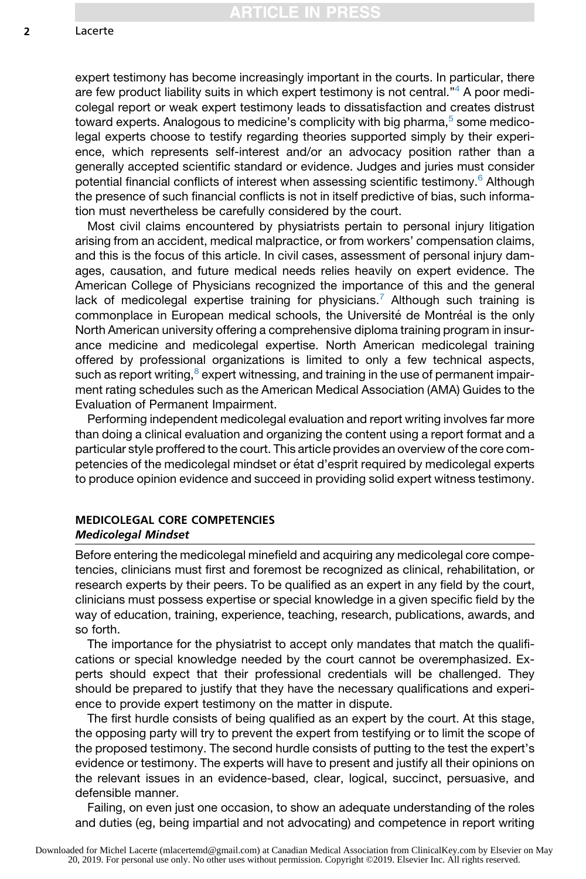expert testimony has become increasingly important in the courts. In particular, there are few product liability suits in which expert testimony is not central."<sup>[4](#page-10-0)</sup> A poor medicolegal report or weak expert testimony leads to dissatisfaction and creates distrust toward experts. Analogous to medicine's complicity with big pharma,<sup>[5](#page-10-0)</sup> some medicolegal experts choose to testify regarding theories supported simply by their experience, which represents self-interest and/or an advocacy position rather than a generally accepted scientific standard or evidence. Judges and juries must consider potential financial conflicts of interest when assessing scientific testimony.[6](#page-10-0) Although the presence of such financial conflicts is not in itself predictive of bias, such information must nevertheless be carefully considered by the court.

Most civil claims encountered by physiatrists pertain to personal injury litigation arising from an accident, medical malpractice, or from workers' compensation claims, and this is the focus of this article. In civil cases, assessment of personal injury damages, causation, and future medical needs relies heavily on expert evidence. The American College of Physicians recognized the importance of this and the general lack of medicolegal expertise training for physicians.<sup>[7](#page-10-0)</sup> Although such training is commonplace in European medical schools, the Université de Montréal is the only North American university offering a comprehensive diploma training program in insurance medicine and medicolegal expertise. North American medicolegal training offered by professional organizations is limited to only a few technical aspects, such as report writing, $8$  expert witnessing, and training in the use of permanent impairment rating schedules such as the American Medical Association (AMA) Guides to the Evaluation of Permanent Impairment.

Performing independent medicolegal evaluation and report writing involves far more than doing a clinical evaluation and organizing the content using a report format and a particular style proffered to the court. This article provides an overview of the core competencies of the medicolegal mindset or état d'esprit required by medicolegal experts to produce opinion evidence and succeed in providing solid expert witness testimony.

## MEDICOLEGAL CORE COMPETENCIES Medicolegal Mindset

Before entering the medicolegal minefield and acquiring any medicolegal core competencies, clinicians must first and foremost be recognized as clinical, rehabilitation, or research experts by their peers. To be qualified as an expert in any field by the court, clinicians must possess expertise or special knowledge in a given specific field by the way of education, training, experience, teaching, research, publications, awards, and so forth.

The importance for the physiatrist to accept only mandates that match the qualifications or special knowledge needed by the court cannot be overemphasized. Experts should expect that their professional credentials will be challenged. They should be prepared to justify that they have the necessary qualifications and experience to provide expert testimony on the matter in dispute.

The first hurdle consists of being qualified as an expert by the court. At this stage, the opposing party will try to prevent the expert from testifying or to limit the scope of the proposed testimony. The second hurdle consists of putting to the test the expert's evidence or testimony. The experts will have to present and justify all their opinions on the relevant issues in an evidence-based, clear, logical, succinct, persuasive, and defensible manner.

Failing, on even just one occasion, to show an adequate understanding of the roles and duties (eg, being impartial and not advocating) and competence in report writing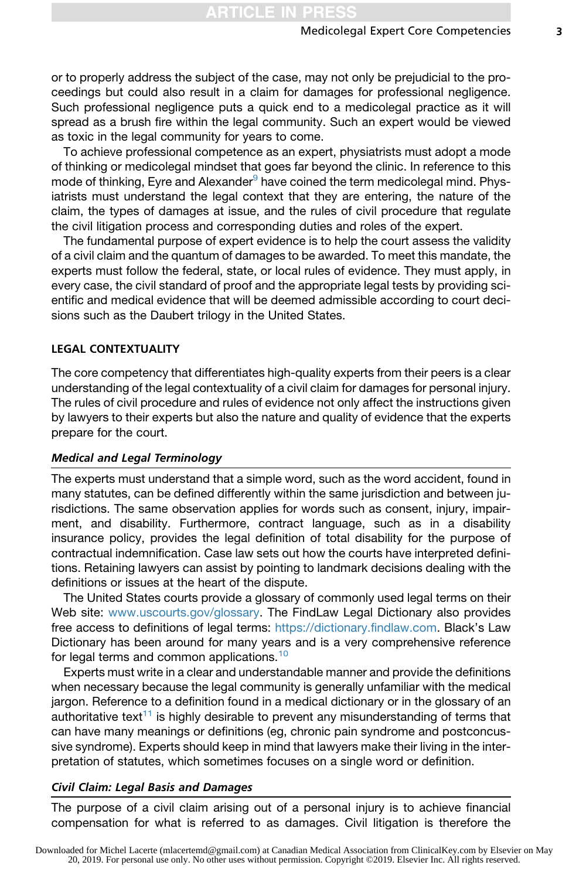or to properly address the subject of the case, may not only be prejudicial to the proceedings but could also result in a claim for damages for professional negligence. Such professional negligence puts a quick end to a medicolegal practice as it will spread as a brush fire within the legal community. Such an expert would be viewed as toxic in the legal community for years to come.

To achieve professional competence as an expert, physiatrists must adopt a mode of thinking or medicolegal mindset that goes far beyond the clinic. In reference to this mode of thinking, Eyre and Alexander $9$  have coined the term medicolegal mind. Physiatrists must understand the legal context that they are entering, the nature of the claim, the types of damages at issue, and the rules of civil procedure that regulate the civil litigation process and corresponding duties and roles of the expert.

The fundamental purpose of expert evidence is to help the court assess the validity of a civil claim and the quantum of damages to be awarded. To meet this mandate, the experts must follow the federal, state, or local rules of evidence. They must apply, in every case, the civil standard of proof and the appropriate legal tests by providing scientific and medical evidence that will be deemed admissible according to court decisions such as the Daubert trilogy in the United States.

#### LEGAL CONTEXTUALITY

The core competency that differentiates high-quality experts from their peers is a clear understanding of the legal contextuality of a civil claim for damages for personal injury. The rules of civil procedure and rules of evidence not only affect the instructions given by lawyers to their experts but also the nature and quality of evidence that the experts prepare for the court.

# Medical and Legal Terminology

The experts must understand that a simple word, such as the word accident, found in many statutes, can be defined differently within the same jurisdiction and between jurisdictions. The same observation applies for words such as consent, injury, impairment, and disability. Furthermore, contract language, such as in a disability insurance policy, provides the legal definition of total disability for the purpose of contractual indemnification. Case law sets out how the courts have interpreted definitions. Retaining lawyers can assist by pointing to landmark decisions dealing with the definitions or issues at the heart of the dispute.

The United States courts provide a glossary of commonly used legal terms on their Web site: [www.uscourts.gov/glossary](http://www.uscourts.gov/glossary). The FindLaw Legal Dictionary also provides free access to definitions of legal terms: <https://dictionary.findlaw.com>. Black's Law Dictionary has been around for many years and is a very comprehensive reference for legal terms and common applications.<sup>[10](#page-10-0)</sup>

Experts must write in a clear and understandable manner and provide the definitions when necessary because the legal community is generally unfamiliar with the medical jargon. Reference to a definition found in a medical dictionary or in the glossary of an authoritative text<sup>11</sup> is highly desirable to prevent any misunderstanding of terms that can have many meanings or definitions (eg, chronic pain syndrome and postconcussive syndrome). Experts should keep in mind that lawyers make their living in the interpretation of statutes, which sometimes focuses on a single word or definition.

# Civil Claim: Legal Basis and Damages

The purpose of a civil claim arising out of a personal injury is to achieve financial compensation for what is referred to as damages. Civil litigation is therefore the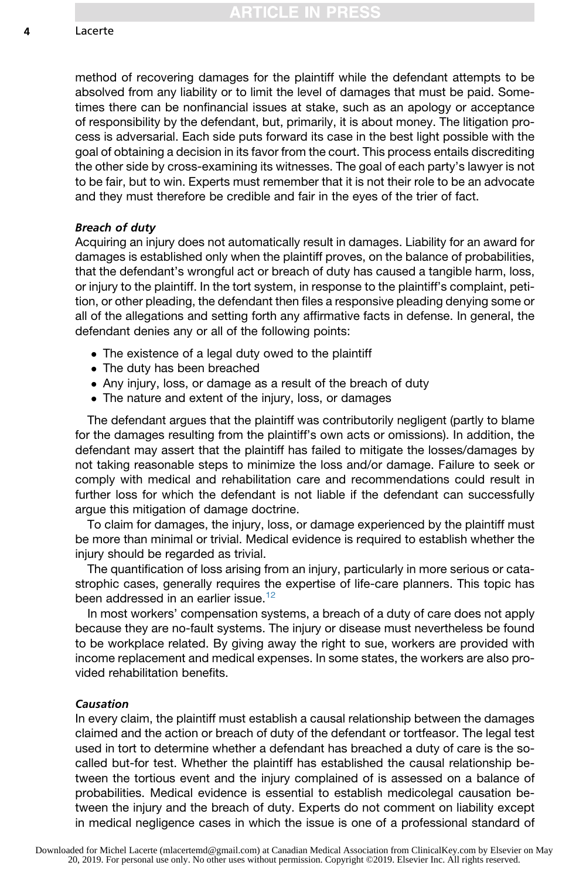method of recovering damages for the plaintiff while the defendant attempts to be absolved from any liability or to limit the level of damages that must be paid. Sometimes there can be nonfinancial issues at stake, such as an apology or acceptance of responsibility by the defendant, but, primarily, it is about money. The litigation process is adversarial. Each side puts forward its case in the best light possible with the goal of obtaining a decision in its favor from the court. This process entails discrediting the other side by cross-examining its witnesses. The goal of each party's lawyer is not to be fair, but to win. Experts must remember that it is not their role to be an advocate and they must therefore be credible and fair in the eyes of the trier of fact.

#### Breach of duty

Acquiring an injury does not automatically result in damages. Liability for an award for damages is established only when the plaintiff proves, on the balance of probabilities, that the defendant's wrongful act or breach of duty has caused a tangible harm, loss, or injury to the plaintiff. In the tort system, in response to the plaintiff's complaint, petition, or other pleading, the defendant then files a responsive pleading denying some or all of the allegations and setting forth any affirmative facts in defense. In general, the defendant denies any or all of the following points:

- The existence of a legal duty owed to the plaintiff
- The duty has been breached
- Any injury, loss, or damage as a result of the breach of duty
- The nature and extent of the injury, loss, or damages

The defendant argues that the plaintiff was contributorily negligent (partly to blame for the damages resulting from the plaintiff's own acts or omissions). In addition, the defendant may assert that the plaintiff has failed to mitigate the losses/damages by not taking reasonable steps to minimize the loss and/or damage. Failure to seek or comply with medical and rehabilitation care and recommendations could result in further loss for which the defendant is not liable if the defendant can successfully argue this mitigation of damage doctrine.

To claim for damages, the injury, loss, or damage experienced by the plaintiff must be more than minimal or trivial. Medical evidence is required to establish whether the injury should be regarded as trivial.

The quantification of loss arising from an injury, particularly in more serious or catastrophic cases, generally requires the expertise of life-care planners. This topic has been addressed in an earlier issue.<sup>[12](#page-10-0)</sup>

In most workers' compensation systems, a breach of a duty of care does not apply because they are no-fault systems. The injury or disease must nevertheless be found to be workplace related. By giving away the right to sue, workers are provided with income replacement and medical expenses. In some states, the workers are also provided rehabilitation benefits.

## Causation

In every claim, the plaintiff must establish a causal relationship between the damages claimed and the action or breach of duty of the defendant or tortfeasor. The legal test used in tort to determine whether a defendant has breached a duty of care is the socalled but-for test. Whether the plaintiff has established the causal relationship between the tortious event and the injury complained of is assessed on a balance of probabilities. Medical evidence is essential to establish medicolegal causation between the injury and the breach of duty. Experts do not comment on liability except in medical negligence cases in which the issue is one of a professional standard of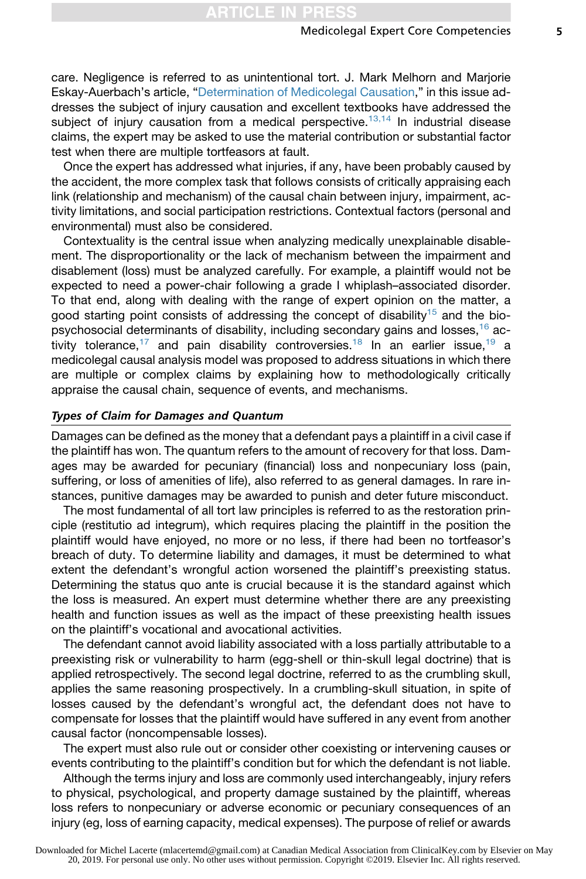care. Negligence is referred to as unintentional tort. J. Mark Melhorn and Marjorie Eskay-Auerbach's article, ["Determination of Medicolegal Causation,](https://doi.org/10.1016/j.pmr.2019.04.003)" in this issue addresses the subject of injury causation and excellent textbooks have addressed the subject of injury causation from a medical perspective.<sup>[13,14](#page-10-0)</sup> In industrial disease claims, the expert may be asked to use the material contribution or substantial factor test when there are multiple tortfeasors at fault.

Once the expert has addressed what injuries, if any, have been probably caused by the accident, the more complex task that follows consists of critically appraising each link (relationship and mechanism) of the causal chain between injury, impairment, activity limitations, and social participation restrictions. Contextual factors (personal and environmental) must also be considered.

Contextuality is the central issue when analyzing medically unexplainable disablement. The disproportionality or the lack of mechanism between the impairment and disablement (loss) must be analyzed carefully. For example, a plaintiff would not be expected to need a power-chair following a grade I whiplash–associated disorder. To that end, along with dealing with the range of expert opinion on the matter, a good starting point consists of addressing the concept of disability<sup>[15](#page-10-0)</sup> and the biopsychosocial determinants of disability, including secondary gains and losses,  $16$  ac-tivity tolerance,<sup>[17](#page-10-0)</sup> and pain disability controversies.<sup>[18](#page-10-0)</sup> In an earlier issue,<sup>[19](#page-10-0)</sup> a medicolegal causal analysis model was proposed to address situations in which there are multiple or complex claims by explaining how to methodologically critically appraise the causal chain, sequence of events, and mechanisms.

#### Types of Claim for Damages and Quantum

Damages can be defined as the money that a defendant pays a plaintiff in a civil case if the plaintiff has won. The quantum refers to the amount of recovery for that loss. Damages may be awarded for pecuniary (financial) loss and nonpecuniary loss (pain, suffering, or loss of amenities of life), also referred to as general damages. In rare instances, punitive damages may be awarded to punish and deter future misconduct.

The most fundamental of all tort law principles is referred to as the restoration principle (restitutio ad integrum), which requires placing the plaintiff in the position the plaintiff would have enjoyed, no more or no less, if there had been no tortfeasor's breach of duty. To determine liability and damages, it must be determined to what extent the defendant's wrongful action worsened the plaintiff's preexisting status. Determining the status quo ante is crucial because it is the standard against which the loss is measured. An expert must determine whether there are any preexisting health and function issues as well as the impact of these preexisting health issues on the plaintiff's vocational and avocational activities.

The defendant cannot avoid liability associated with a loss partially attributable to a preexisting risk or vulnerability to harm (egg-shell or thin-skull legal doctrine) that is applied retrospectively. The second legal doctrine, referred to as the crumbling skull, applies the same reasoning prospectively. In a crumbling-skull situation, in spite of losses caused by the defendant's wrongful act, the defendant does not have to compensate for losses that the plaintiff would have suffered in any event from another causal factor (noncompensable losses).

The expert must also rule out or consider other coexisting or intervening causes or events contributing to the plaintiff's condition but for which the defendant is not liable.

Although the terms injury and loss are commonly used interchangeably, injury refers to physical, psychological, and property damage sustained by the plaintiff, whereas loss refers to nonpecuniary or adverse economic or pecuniary consequences of an injury (eg, loss of earning capacity, medical expenses). The purpose of relief or awards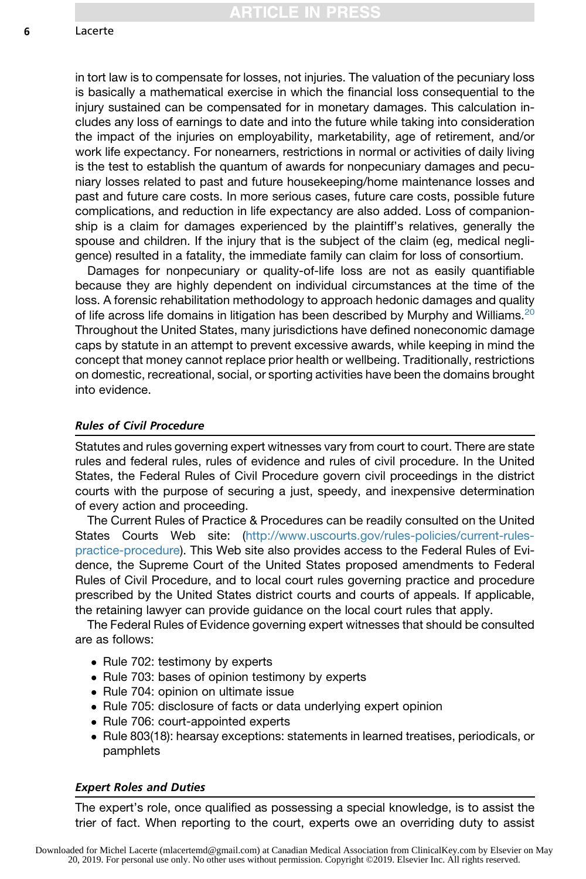in tort law is to compensate for losses, not injuries. The valuation of the pecuniary loss is basically a mathematical exercise in which the financial loss consequential to the injury sustained can be compensated for in monetary damages. This calculation includes any loss of earnings to date and into the future while taking into consideration the impact of the injuries on employability, marketability, age of retirement, and/or work life expectancy. For nonearners, restrictions in normal or activities of daily living is the test to establish the quantum of awards for nonpecuniary damages and pecuniary losses related to past and future housekeeping/home maintenance losses and past and future care costs. In more serious cases, future care costs, possible future complications, and reduction in life expectancy are also added. Loss of companionship is a claim for damages experienced by the plaintiff's relatives, generally the spouse and children. If the injury that is the subject of the claim (eg, medical negligence) resulted in a fatality, the immediate family can claim for loss of consortium.

Damages for nonpecuniary or quality-of-life loss are not as easily quantifiable because they are highly dependent on individual circumstances at the time of the loss. A forensic rehabilitation methodology to approach hedonic damages and quality of life across life domains in litigation has been described by Murphy and Williams.<sup>[20](#page-11-0)</sup> Throughout the United States, many jurisdictions have defined noneconomic damage caps by statute in an attempt to prevent excessive awards, while keeping in mind the concept that money cannot replace prior health or wellbeing. Traditionally, restrictions on domestic, recreational, social, or sporting activities have been the domains brought into evidence.

#### Rules of Civil Procedure

Statutes and rules governing expert witnesses vary from court to court. There are state rules and federal rules, rules of evidence and rules of civil procedure. In the United States, the Federal Rules of Civil Procedure govern civil proceedings in the district courts with the purpose of securing a just, speedy, and inexpensive determination of every action and proceeding.

The Current Rules of Practice & Procedures can be readily consulted on the United States Courts Web site: [\(http://www.uscourts.gov/rules-policies/current-rules](http://www.uscourts.gov/rules-policies/current-rules-practice-procedure)[practice-procedure\)](http://www.uscourts.gov/rules-policies/current-rules-practice-procedure). This Web site also provides access to the Federal Rules of Evidence, the Supreme Court of the United States proposed amendments to Federal Rules of Civil Procedure, and to local court rules governing practice and procedure prescribed by the United States district courts and courts of appeals. If applicable, the retaining lawyer can provide guidance on the local court rules that apply.

The Federal Rules of Evidence governing expert witnesses that should be consulted are as follows:

- Rule 702: testimony by experts
- Rule 703: bases of opinion testimony by experts
- Rule 704: opinion on ultimate issue
- Rule 705: disclosure of facts or data underlying expert opinion
- Rule 706: court-appointed experts
- Rule 803(18): hearsay exceptions: statements in learned treatises, periodicals, or pamphlets

#### Expert Roles and Duties

The expert's role, once qualified as possessing a special knowledge, is to assist the trier of fact. When reporting to the court, experts owe an overriding duty to assist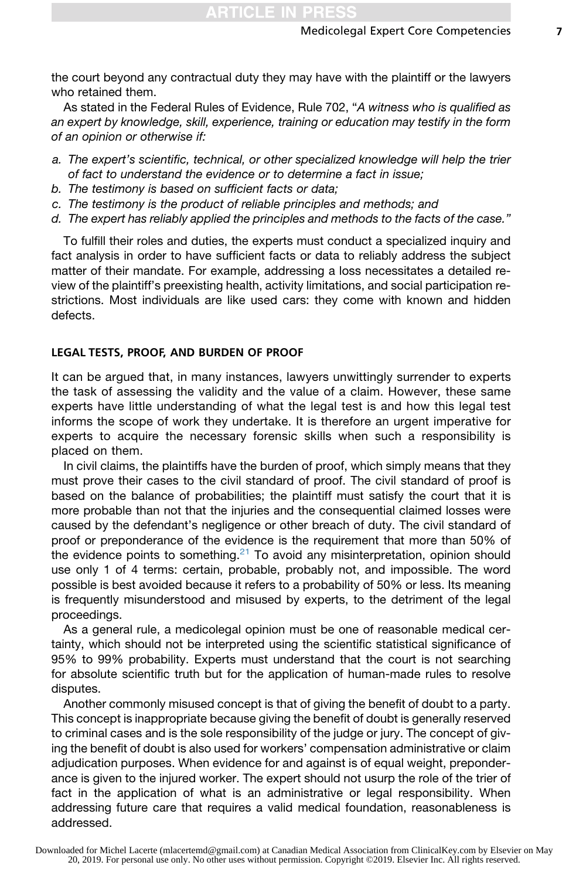the court beyond any contractual duty they may have with the plaintiff or the lawyers who retained them.

As stated in the Federal Rules of Evidence, Rule 702, "*A witness who is qualified as an expert by knowledge, skill, experience, training or education may testify in the form of an opinion or otherwise if:*

- *a. The expert's scientific, technical, or other specialized knowledge will help the trier of fact to understand the evidence or to determine a fact in issue;*
- *b. The testimony is based on sufficient facts or data;*
- *c. The testimony is the product of reliable principles and methods; and*
- *d. The expert has reliably applied the principles and methods to the facts of the case."*

To fulfill their roles and duties, the experts must conduct a specialized inquiry and fact analysis in order to have sufficient facts or data to reliably address the subject matter of their mandate. For example, addressing a loss necessitates a detailed review of the plaintiff's preexisting health, activity limitations, and social participation restrictions. Most individuals are like used cars: they come with known and hidden defects.

#### LEGAL TESTS, PROOF, AND BURDEN OF PROOF

It can be argued that, in many instances, lawyers unwittingly surrender to experts the task of assessing the validity and the value of a claim. However, these same experts have little understanding of what the legal test is and how this legal test informs the scope of work they undertake. It is therefore an urgent imperative for experts to acquire the necessary forensic skills when such a responsibility is placed on them.

In civil claims, the plaintiffs have the burden of proof, which simply means that they must prove their cases to the civil standard of proof. The civil standard of proof is based on the balance of probabilities; the plaintiff must satisfy the court that it is more probable than not that the injuries and the consequential claimed losses were caused by the defendant's negligence or other breach of duty. The civil standard of proof or preponderance of the evidence is the requirement that more than 50% of the evidence points to something.<sup>[21](#page-11-0)</sup> To avoid any misinterpretation, opinion should use only 1 of 4 terms: certain, probable, probably not, and impossible. The word possible is best avoided because it refers to a probability of 50% or less. Its meaning is frequently misunderstood and misused by experts, to the detriment of the legal proceedings.

As a general rule, a medicolegal opinion must be one of reasonable medical certainty, which should not be interpreted using the scientific statistical significance of 95% to 99% probability. Experts must understand that the court is not searching for absolute scientific truth but for the application of human-made rules to resolve disputes.

Another commonly misused concept is that of giving the benefit of doubt to a party. This concept is inappropriate because giving the benefit of doubt is generally reserved to criminal cases and is the sole responsibility of the judge or jury. The concept of giving the benefit of doubt is also used for workers' compensation administrative or claim adjudication purposes. When evidence for and against is of equal weight, preponderance is given to the injured worker. The expert should not usurp the role of the trier of fact in the application of what is an administrative or legal responsibility. When addressing future care that requires a valid medical foundation, reasonableness is addressed.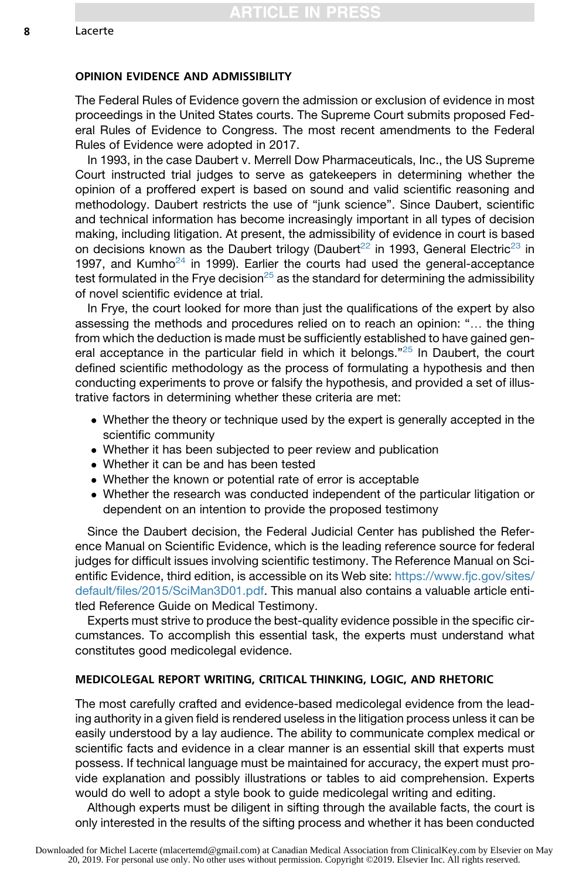## OPINION EVIDENCE AND ADMISSIBILITY

The Federal Rules of Evidence govern the admission or exclusion of evidence in most proceedings in the United States courts. The Supreme Court submits proposed Federal Rules of Evidence to Congress. The most recent amendments to the Federal Rules of Evidence were adopted in 2017.

In 1993, in the case Daubert v. Merrell Dow Pharmaceuticals, Inc., the US Supreme Court instructed trial judges to serve as gatekeepers in determining whether the opinion of a proffered expert is based on sound and valid scientific reasoning and methodology. Daubert restricts the use of "junk science". Since Daubert, scientific and technical information has become increasingly important in all types of decision making, including litigation. At present, the admissibility of evidence in court is based on decisions known as the Daubert trilogy (Daubert<sup>[22](#page-11-0)</sup> in 1993, General Electric<sup>[23](#page-11-0)</sup> in 1997, and Kumho<sup>[24](#page-11-0)</sup> in 1999). Earlier the courts had used the general-acceptance test formulated in the Frye decision<sup>[25](#page-11-0)</sup> as the standard for determining the admissibility of novel scientific evidence at trial.

In Frye, the court looked for more than just the qualifications of the expert by also assessing the methods and procedures relied on to reach an opinion: ". the thing from which the deduction is made must be sufficiently established to have gained gen-eral acceptance in the particular field in which it belongs."<sup>[25](#page-11-0)</sup> In Daubert, the court defined scientific methodology as the process of formulating a hypothesis and then conducting experiments to prove or falsify the hypothesis, and provided a set of illustrative factors in determining whether these criteria are met:

- Whether the theory or technique used by the expert is generally accepted in the scientific community
- Whether it has been subjected to peer review and publication
- Whether it can be and has been tested
- Whether the known or potential rate of error is acceptable
- Whether the research was conducted independent of the particular litigation or dependent on an intention to provide the proposed testimony

Since the Daubert decision, the Federal Judicial Center has published the Reference Manual on Scientific Evidence, which is the leading reference source for federal judges for difficult issues involving scientific testimony. The Reference Manual on Scientific Evidence, third edition, is accessible on its Web site: [https://www.fjc.gov/sites/](https://www.fjc.gov/sites/default/files/2015/SciMan3D01.pdf) [default/files/2015/SciMan3D01.pdf.](https://www.fjc.gov/sites/default/files/2015/SciMan3D01.pdf) This manual also contains a valuable article entitled Reference Guide on Medical Testimony.

Experts must strive to produce the best-quality evidence possible in the specific circumstances. To accomplish this essential task, the experts must understand what constitutes good medicolegal evidence.

#### MEDICOLEGAL REPORT WRITING, CRITICAL THINKING, LOGIC, AND RHETORIC

The most carefully crafted and evidence-based medicolegal evidence from the leading authority in a given field is rendered useless in the litigation process unless it can be easily understood by a lay audience. The ability to communicate complex medical or scientific facts and evidence in a clear manner is an essential skill that experts must possess. If technical language must be maintained for accuracy, the expert must provide explanation and possibly illustrations or tables to aid comprehension. Experts would do well to adopt a style book to guide medicolegal writing and editing.

Although experts must be diligent in sifting through the available facts, the court is only interested in the results of the sifting process and whether it has been conducted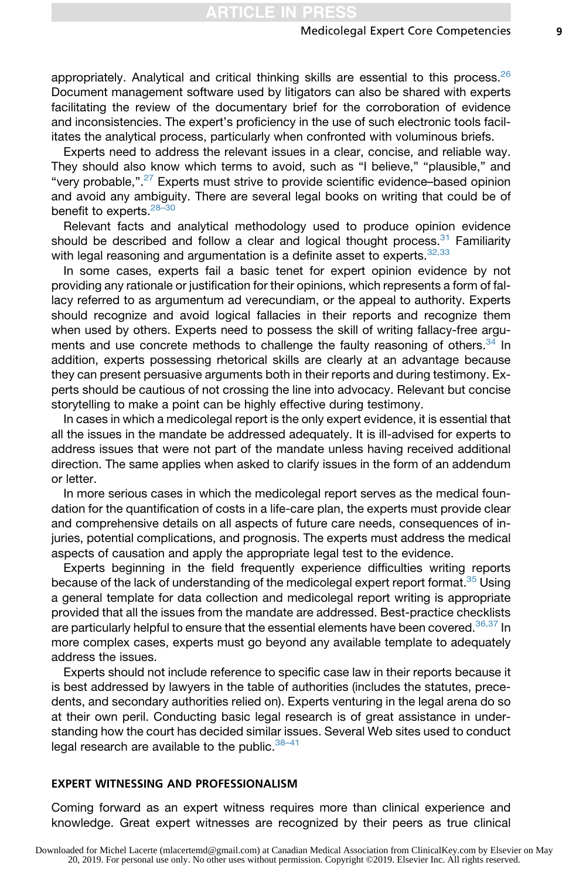appropriately. Analytical and critical thinking skills are essential to this process. $26$ Document management software used by litigators can also be shared with experts facilitating the review of the documentary brief for the corroboration of evidence and inconsistencies. The expert's proficiency in the use of such electronic tools facilitates the analytical process, particularly when confronted with voluminous briefs.

Experts need to address the relevant issues in a clear, concise, and reliable way. They should also know which terms to avoid, such as "I believe," "plausible," and "very probable,".[27](#page-11-0) Experts must strive to provide scientific evidence–based opinion and avoid any ambiguity. There are several legal books on writing that could be of benefit to experts.<sup>28-30</sup>

Relevant facts and analytical methodology used to produce opinion evidence should be described and follow a clear and logical thought process. $31$  Familiarity with legal reasoning and argumentation is a definite asset to experts. [32,33](#page-11-0)

In some cases, experts fail a basic tenet for expert opinion evidence by not providing any rationale or justification for their opinions, which represents a form of fallacy referred to as argumentum ad verecundiam, or the appeal to authority. Experts should recognize and avoid logical fallacies in their reports and recognize them when used by others. Experts need to possess the skill of writing fallacy-free argu-ments and use concrete methods to challenge the faulty reasoning of others.<sup>[34](#page-11-0)</sup> In addition, experts possessing rhetorical skills are clearly at an advantage because they can present persuasive arguments both in their reports and during testimony. Experts should be cautious of not crossing the line into advocacy. Relevant but concise storytelling to make a point can be highly effective during testimony.

In cases in which a medicolegal report is the only expert evidence, it is essential that all the issues in the mandate be addressed adequately. It is ill-advised for experts to address issues that were not part of the mandate unless having received additional direction. The same applies when asked to clarify issues in the form of an addendum or letter.

In more serious cases in which the medicolegal report serves as the medical foundation for the quantification of costs in a life-care plan, the experts must provide clear and comprehensive details on all aspects of future care needs, consequences of injuries, potential complications, and prognosis. The experts must address the medical aspects of causation and apply the appropriate legal test to the evidence.

Experts beginning in the field frequently experience difficulties writing reports because of the lack of understanding of the medicolegal expert report format.<sup>[35](#page-11-0)</sup> Using a general template for data collection and medicolegal report writing is appropriate provided that all the issues from the mandate are addressed. Best-practice checklists are particularly helpful to ensure that the essential elements have been covered.<sup>[36,37](#page-11-0)</sup> In more complex cases, experts must go beyond any available template to adequately address the issues.

Experts should not include reference to specific case law in their reports because it is best addressed by lawyers in the table of authorities (includes the statutes, precedents, and secondary authorities relied on). Experts venturing in the legal arena do so at their own peril. Conducting basic legal research is of great assistance in understanding how the court has decided similar issues. Several Web sites used to conduct legal research are available to the public.  $38-41$ 

# EXPERT WITNESSING AND PROFESSIONALISM

Coming forward as an expert witness requires more than clinical experience and knowledge. Great expert witnesses are recognized by their peers as true clinical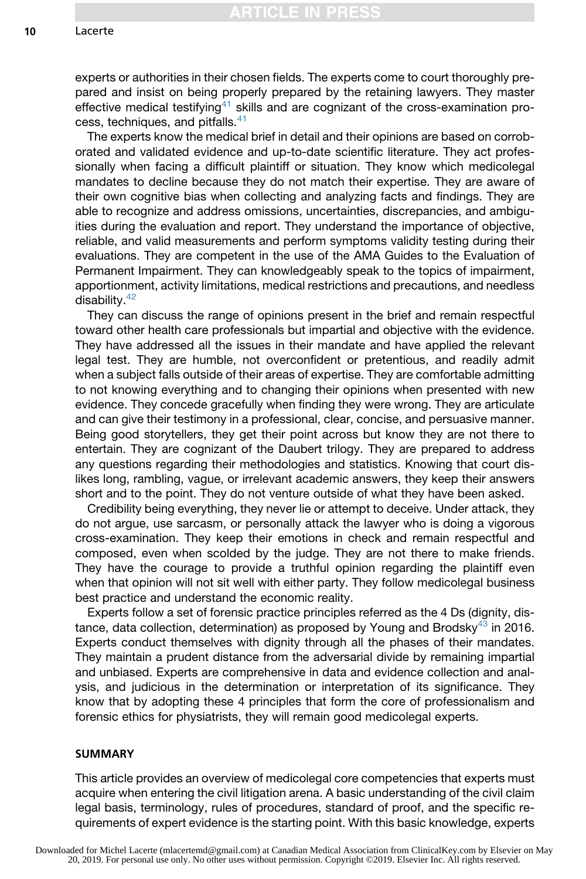experts or authorities in their chosen fields. The experts come to court thoroughly prepared and insist on being properly prepared by the retaining lawyers. They master effective medical testifying<sup>[41](#page-11-0)</sup> skills and are cognizant of the cross-examination pro-cess, techniques, and pitfalls.<sup>[41](#page-11-0)</sup>

The experts know the medical brief in detail and their opinions are based on corroborated and validated evidence and up-to-date scientific literature. They act professionally when facing a difficult plaintiff or situation. They know which medicolegal mandates to decline because they do not match their expertise. They are aware of their own cognitive bias when collecting and analyzing facts and findings. They are able to recognize and address omissions, uncertainties, discrepancies, and ambiguities during the evaluation and report. They understand the importance of objective, reliable, and valid measurements and perform symptoms validity testing during their evaluations. They are competent in the use of the AMA Guides to the Evaluation of Permanent Impairment. They can knowledgeably speak to the topics of impairment, apportionment, activity limitations, medical restrictions and precautions, and needless disability.[42](#page-11-0)

They can discuss the range of opinions present in the brief and remain respectful toward other health care professionals but impartial and objective with the evidence. They have addressed all the issues in their mandate and have applied the relevant legal test. They are humble, not overconfident or pretentious, and readily admit when a subject falls outside of their areas of expertise. They are comfortable admitting to not knowing everything and to changing their opinions when presented with new evidence. They concede gracefully when finding they were wrong. They are articulate and can give their testimony in a professional, clear, concise, and persuasive manner. Being good storytellers, they get their point across but know they are not there to entertain. They are cognizant of the Daubert trilogy. They are prepared to address any questions regarding their methodologies and statistics. Knowing that court dislikes long, rambling, vague, or irrelevant academic answers, they keep their answers short and to the point. They do not venture outside of what they have been asked.

Credibility being everything, they never lie or attempt to deceive. Under attack, they do not argue, use sarcasm, or personally attack the lawyer who is doing a vigorous cross-examination. They keep their emotions in check and remain respectful and composed, even when scolded by the judge. They are not there to make friends. They have the courage to provide a truthful opinion regarding the plaintiff even when that opinion will not sit well with either party. They follow medicolegal business best practice and understand the economic reality.

Experts follow a set of forensic practice principles referred as the 4 Ds (dignity, dis-tance, data collection, determination) as proposed by Young and Brodsky<sup>[43](#page-11-0)</sup> in 2016. Experts conduct themselves with dignity through all the phases of their mandates. They maintain a prudent distance from the adversarial divide by remaining impartial and unbiased. Experts are comprehensive in data and evidence collection and analysis, and judicious in the determination or interpretation of its significance. They know that by adopting these 4 principles that form the core of professionalism and forensic ethics for physiatrists, they will remain good medicolegal experts.

## SUMMARY

This article provides an overview of medicolegal core competencies that experts must acquire when entering the civil litigation arena. A basic understanding of the civil claim legal basis, terminology, rules of procedures, standard of proof, and the specific requirements of expert evidence is the starting point. With this basic knowledge, experts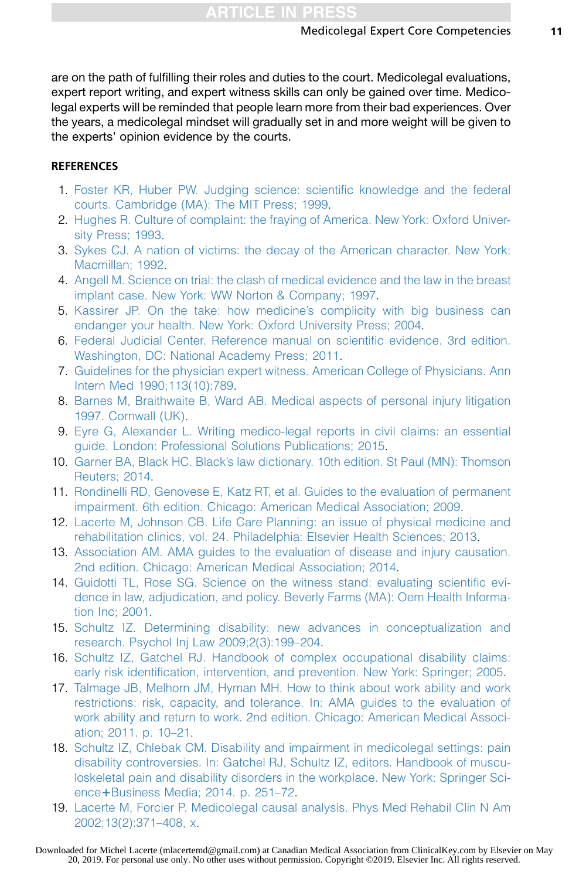<span id="page-10-0"></span>are on the path of fulfilling their roles and duties to the court. Medicolegal evaluations, expert report writing, and expert witness skills can only be gained over time. Medicolegal experts will be reminded that people learn more from their bad experiences. Over the years, a medicolegal mindset will gradually set in and more weight will be given to the experts' opinion evidence by the courts.

# **REFERENCES**

- 1. [Foster KR, Huber PW. Judging science: scientific knowledge and the federal](http://refhub.elsevier.com/S1047-9651(19)30022-1/sref1) [courts. Cambridge \(MA\): The MIT Press; 1999.](http://refhub.elsevier.com/S1047-9651(19)30022-1/sref1)
- 2. [Hughes R. Culture of complaint: the fraying of America. New York: Oxford Univer](http://refhub.elsevier.com/S1047-9651(19)30022-1/sref2)[sity Press; 1993.](http://refhub.elsevier.com/S1047-9651(19)30022-1/sref2)
- 3. [Sykes CJ. A nation of victims: the decay of the American character. New York:](http://refhub.elsevier.com/S1047-9651(19)30022-1/sref3) [Macmillan; 1992.](http://refhub.elsevier.com/S1047-9651(19)30022-1/sref3)
- 4. [Angell M. Science on trial: the clash of medical evidence and the law in the breast](http://refhub.elsevier.com/S1047-9651(19)30022-1/sref4) [implant case. New York: WW Norton & Company; 1997](http://refhub.elsevier.com/S1047-9651(19)30022-1/sref4).
- 5. [Kassirer JP. On the take: how medicine's complicity with big business can](http://refhub.elsevier.com/S1047-9651(19)30022-1/sref5) [endanger your health. New York: Oxford University Press; 2004](http://refhub.elsevier.com/S1047-9651(19)30022-1/sref5).
- 6. [Federal Judicial Center. Reference manual on scientific evidence. 3rd edition.](http://refhub.elsevier.com/S1047-9651(19)30022-1/sref6) [Washington, DC: National Academy Press; 2011](http://refhub.elsevier.com/S1047-9651(19)30022-1/sref6).
- 7. [Guidelines for the physician expert witness. American College of Physicians. Ann](http://refhub.elsevier.com/S1047-9651(19)30022-1/sref7) [Intern Med 1990;113\(10\):789](http://refhub.elsevier.com/S1047-9651(19)30022-1/sref7).
- 8. [Barnes M, Braithwaite B, Ward AB. Medical aspects of personal injury litigation](http://refhub.elsevier.com/S1047-9651(19)30022-1/sref8) [1997. Cornwall \(UK\)](http://refhub.elsevier.com/S1047-9651(19)30022-1/sref8).
- 9. [Eyre G, Alexander L. Writing medico-legal reports in civil claims: an essential](http://refhub.elsevier.com/S1047-9651(19)30022-1/sref9) [guide. London: Professional Solutions Publications; 2015.](http://refhub.elsevier.com/S1047-9651(19)30022-1/sref9)
- 10. [Garner BA, Black HC. Black's law dictionary. 10th edition. St Paul \(MN\): Thomson](http://refhub.elsevier.com/S1047-9651(19)30022-1/sref10) [Reuters; 2014.](http://refhub.elsevier.com/S1047-9651(19)30022-1/sref10)
- 11. [Rondinelli RD, Genovese E, Katz RT, et al. Guides to the evaluation of permanent](http://refhub.elsevier.com/S1047-9651(19)30022-1/sref11) [impairment. 6th edition. Chicago: American Medical Association; 2009](http://refhub.elsevier.com/S1047-9651(19)30022-1/sref11).
- 12. [Lacerte M, Johnson CB. Life Care Planning: an issue of physical medicine and](http://refhub.elsevier.com/S1047-9651(19)30022-1/sref12) [rehabilitation clinics, vol. 24. Philadelphia: Elsevier Health Sciences; 2013](http://refhub.elsevier.com/S1047-9651(19)30022-1/sref12).
- 13. [Association AM. AMA guides to the evaluation of disease and injury causation.](http://refhub.elsevier.com/S1047-9651(19)30022-1/sref13) [2nd edition. Chicago: American Medical Association; 2014](http://refhub.elsevier.com/S1047-9651(19)30022-1/sref13).
- 14. [Guidotti TL, Rose SG. Science on the witness stand: evaluating scientific evi](http://refhub.elsevier.com/S1047-9651(19)30022-1/sref14)[dence in law, adjudication, and policy. Beverly Farms \(MA\): Oem Health Informa](http://refhub.elsevier.com/S1047-9651(19)30022-1/sref14)[tion Inc; 2001.](http://refhub.elsevier.com/S1047-9651(19)30022-1/sref14)
- 15. [Schultz IZ. Determining disability: new advances in conceptualization and](http://refhub.elsevier.com/S1047-9651(19)30022-1/sref15) [research. Psychol Inj Law 2009;2\(3\):199–204](http://refhub.elsevier.com/S1047-9651(19)30022-1/sref15).
- 16. [Schultz IZ, Gatchel RJ. Handbook of complex occupational disability claims:](http://refhub.elsevier.com/S1047-9651(19)30022-1/sref16) [early risk identification, intervention, and prevention. New York: Springer; 2005.](http://refhub.elsevier.com/S1047-9651(19)30022-1/sref16)
- 17. [Talmage JB, Melhorn JM, Hyman MH. How to think about work ability and work](http://refhub.elsevier.com/S1047-9651(19)30022-1/sref17) [restrictions: risk, capacity, and tolerance. In: AMA guides to the evaluation of](http://refhub.elsevier.com/S1047-9651(19)30022-1/sref17) [work ability and return to work. 2nd edition. Chicago: American Medical Associ](http://refhub.elsevier.com/S1047-9651(19)30022-1/sref17)[ation; 2011. p. 10–21](http://refhub.elsevier.com/S1047-9651(19)30022-1/sref17).
- 18. [Schultz IZ, Chlebak CM. Disability and impairment in medicolegal settings: pain](http://refhub.elsevier.com/S1047-9651(19)30022-1/sref18) [disability controversies. In: Gatchel RJ, Schultz IZ, editors. Handbook of muscu](http://refhub.elsevier.com/S1047-9651(19)30022-1/sref18)[loskeletal pain and disability disorders in the workplace. New York: Springer Sci-](http://refhub.elsevier.com/S1047-9651(19)30022-1/sref18)ence+[Business Media; 2014. p. 251–72](http://refhub.elsevier.com/S1047-9651(19)30022-1/sref18).
- 19. [Lacerte M, Forcier P. Medicolegal causal analysis. Phys Med Rehabil Clin N Am](http://refhub.elsevier.com/S1047-9651(19)30022-1/sref19) [2002;13\(2\):371–408, x.](http://refhub.elsevier.com/S1047-9651(19)30022-1/sref19)